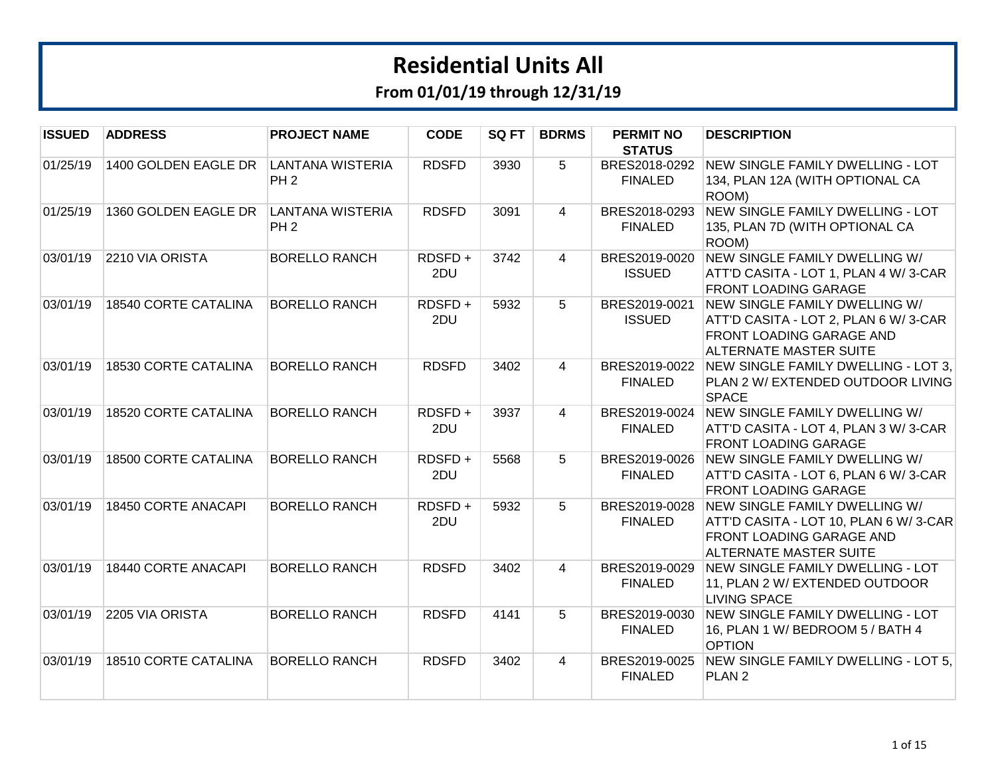| <b>ISSUED</b> | <b>ADDRESS</b>       | <b>PROJECT NAME</b>                        | <b>CODE</b>   | SQ FT | <b>BDRMS</b>   | <b>PERMIT NO</b><br><b>STATUS</b> | <b>DESCRIPTION</b>                                                                                                                  |
|---------------|----------------------|--------------------------------------------|---------------|-------|----------------|-----------------------------------|-------------------------------------------------------------------------------------------------------------------------------------|
| 01/25/19      | 1400 GOLDEN EAGLE DR | <b>LANTANA WISTERIA</b><br>PH <sub>2</sub> | <b>RDSFD</b>  | 3930  | 5              | BRES2018-0292<br><b>FINALED</b>   | NEW SINGLE FAMILY DWELLING - LOT<br>134, PLAN 12A (WITH OPTIONAL CA<br>ROOM)                                                        |
| 01/25/19      | 1360 GOLDEN EAGLE DR | <b>LANTANA WISTERIA</b><br>PH <sub>2</sub> | <b>RDSFD</b>  | 3091  | 4              | BRES2018-0293<br><b>FINALED</b>   | <b>NEW SINGLE FAMILY DWELLING - LOT</b><br>135, PLAN 7D (WITH OPTIONAL CA<br>ROOM)                                                  |
| 03/01/19      | 2210 VIA ORISTA      | <b>BORELLO RANCH</b>                       | RDSFD+<br>2DU | 3742  | 4              | BRES2019-0020<br><b>ISSUED</b>    | NEW SINGLE FAMILY DWELLING W/<br>ATT'D CASITA - LOT 1, PLAN 4 W/3-CAR<br><b>FRONT LOADING GARAGE</b>                                |
| 03/01/19      | 18540 CORTE CATALINA | <b>BORELLO RANCH</b>                       | RDSFD+<br>2DU | 5932  | 5              | BRES2019-0021<br><b>ISSUED</b>    | NEW SINGLE FAMILY DWELLING W/<br>ATT'D CASITA - LOT 2, PLAN 6 W/3-CAR<br>FRONT LOADING GARAGE AND<br><b>ALTERNATE MASTER SUITE</b>  |
| 03/01/19      | 18530 CORTE CATALINA | <b>BORELLO RANCH</b>                       | <b>RDSFD</b>  | 3402  | $\overline{4}$ | <b>FINALED</b>                    | BRES2019-0022 NEW SINGLE FAMILY DWELLING - LOT 3.<br>PLAN 2 W/ EXTENDED OUTDOOR LIVING<br><b>SPACE</b>                              |
| 03/01/19      | 18520 CORTE CATALINA | <b>BORELLO RANCH</b>                       | RDSFD+<br>2DU | 3937  | $\overline{4}$ | BRES2019-0024<br><b>FINALED</b>   | NEW SINGLE FAMILY DWELLING W/<br>ATT'D CASITA - LOT 4, PLAN 3 W/3-CAR<br><b>FRONT LOADING GARAGE</b>                                |
| 03/01/19      | 18500 CORTE CATALINA | <b>BORELLO RANCH</b>                       | RDSFD+<br>2DU | 5568  | 5              | BRES2019-0026<br><b>FINALED</b>   | NEW SINGLE FAMILY DWELLING W/<br>ATT'D CASITA - LOT 6, PLAN 6 W/3-CAR<br><b>FRONT LOADING GARAGE</b>                                |
| 03/01/19      | 18450 CORTE ANACAPI  | <b>BORELLO RANCH</b>                       | RDSFD+<br>2DU | 5932  | 5              | BRES2019-0028<br><b>FINALED</b>   | NEW SINGLE FAMILY DWELLING W/<br>ATT'D CASITA - LOT 10, PLAN 6 W/3-CAR<br>FRONT LOADING GARAGE AND<br><b>ALTERNATE MASTER SUITE</b> |
| 03/01/19      | 18440 CORTE ANACAPI  | <b>BORELLO RANCH</b>                       | <b>RDSFD</b>  | 3402  | $\overline{4}$ | BRES2019-0029<br><b>FINALED</b>   | NEW SINGLE FAMILY DWELLING - LOT<br>11, PLAN 2 W/ EXTENDED OUTDOOR<br><b>LIVING SPACE</b>                                           |
| 03/01/19      | 2205 VIA ORISTA      | <b>BORELLO RANCH</b>                       | <b>RDSFD</b>  | 4141  | 5              | BRES2019-0030<br><b>FINALED</b>   | NEW SINGLE FAMILY DWELLING - LOT<br>16, PLAN 1 W/ BEDROOM 5 / BATH 4<br><b>OPTION</b>                                               |
| 03/01/19      | 18510 CORTE CATALINA | <b>BORELLO RANCH</b>                       | <b>RDSFD</b>  | 3402  | $\overline{4}$ | BRES2019-0025<br><b>FINALED</b>   | NEW SINGLE FAMILY DWELLING - LOT 5.<br>PLAN <sub>2</sub>                                                                            |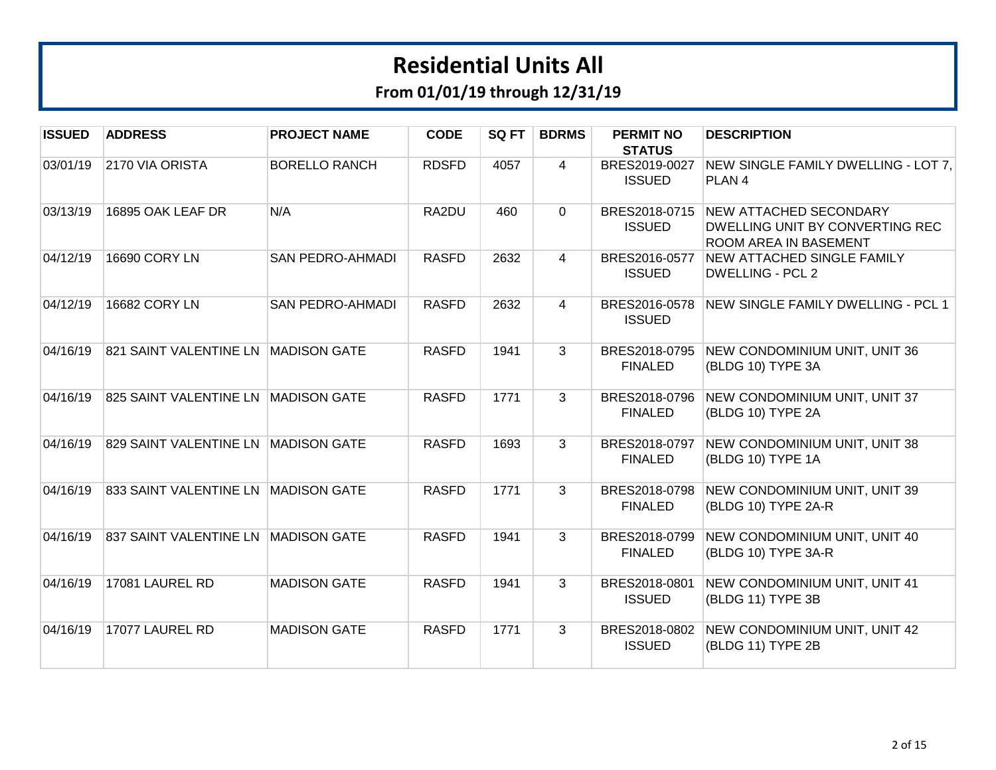| <b>ISSUED</b> | <b>ADDRESS</b>         | <b>PROJECT NAME</b>     | <b>CODE</b>  | SQ FT | <b>BDRMS</b>   | <b>PERMIT NO</b>                                | <b>DESCRIPTION</b>                                                                               |
|---------------|------------------------|-------------------------|--------------|-------|----------------|-------------------------------------------------|--------------------------------------------------------------------------------------------------|
| 03/01/19      | 2170 VIA ORISTA        | <b>BORELLO RANCH</b>    | <b>RDSFD</b> | 4057  | $\overline{4}$ | <b>STATUS</b><br>BRES2019-0027<br><b>ISSUED</b> | NEW SINGLE FAMILY DWELLING - LOT 7,<br>PLAN <sub>4</sub>                                         |
| 03/13/19      | 16895 OAK LEAF DR      | N/A                     | RA2DU        | 460   | $\Omega$       | <b>ISSUED</b>                                   | BRES2018-0715 NEW ATTACHED SECONDARY<br>DWELLING UNIT BY CONVERTING REC<br>ROOM AREA IN BASEMENT |
| 04/12/19      | 16690 CORY LN          | <b>SAN PEDRO-AHMADI</b> | <b>RASFD</b> | 2632  | $\overline{4}$ | BRES2016-0577<br><b>ISSUED</b>                  | <b>NEW ATTACHED SINGLE FAMILY</b><br><b>DWELLING - PCL 2</b>                                     |
| 04/12/19      | 16682 CORY LN          | <b>SAN PEDRO-AHMADI</b> | <b>RASFD</b> | 2632  | $\overline{4}$ | BRES2016-0578<br><b>ISSUED</b>                  | NEW SINGLE FAMILY DWELLING - PCL 1                                                               |
| 04/16/19      | 821 SAINT VALENTINE LN | <b>MADISON GATE</b>     | <b>RASFD</b> | 1941  | 3              | BRES2018-0795<br><b>FINALED</b>                 | NEW CONDOMINIUM UNIT, UNIT 36<br>(BLDG 10) TYPE 3A                                               |
| 04/16/19      | 825 SAINT VALENTINE LN | <b>MADISON GATE</b>     | <b>RASFD</b> | 1771  | 3              | BRES2018-0796<br><b>FINALED</b>                 | NEW CONDOMINIUM UNIT, UNIT 37<br>(BLDG 10) TYPE 2A                                               |
| 04/16/19      | 829 SAINT VALENTINE LN | <b>MADISON GATE</b>     | <b>RASFD</b> | 1693  | 3              | BRES2018-0797<br><b>FINALED</b>                 | NEW CONDOMINIUM UNIT, UNIT 38<br>(BLDG 10) TYPE 1A                                               |
| 04/16/19      | 833 SAINT VALENTINE LN | <b>MADISON GATE</b>     | <b>RASFD</b> | 1771  | 3              | BRES2018-0798<br><b>FINALED</b>                 | NEW CONDOMINIUM UNIT, UNIT 39<br>(BLDG 10) TYPE 2A-R                                             |
| 04/16/19      | 837 SAINT VALENTINE LN | <b>MADISON GATE</b>     | <b>RASFD</b> | 1941  | 3              | BRES2018-0799<br><b>FINALED</b>                 | NEW CONDOMINIUM UNIT, UNIT 40<br>(BLDG 10) TYPE 3A-R                                             |
| 04/16/19      | 17081 LAUREL RD        | <b>MADISON GATE</b>     | <b>RASFD</b> | 1941  | 3              | BRES2018-0801<br><b>ISSUED</b>                  | NEW CONDOMINIUM UNIT, UNIT 41<br>(BLDG 11) TYPE 3B                                               |
| 04/16/19      | 17077 LAUREL RD        | <b>MADISON GATE</b>     | <b>RASFD</b> | 1771  | 3              | BRES2018-0802<br><b>ISSUED</b>                  | NEW CONDOMINIUM UNIT, UNIT 42<br>(BLDG 11) TYPE 2B                                               |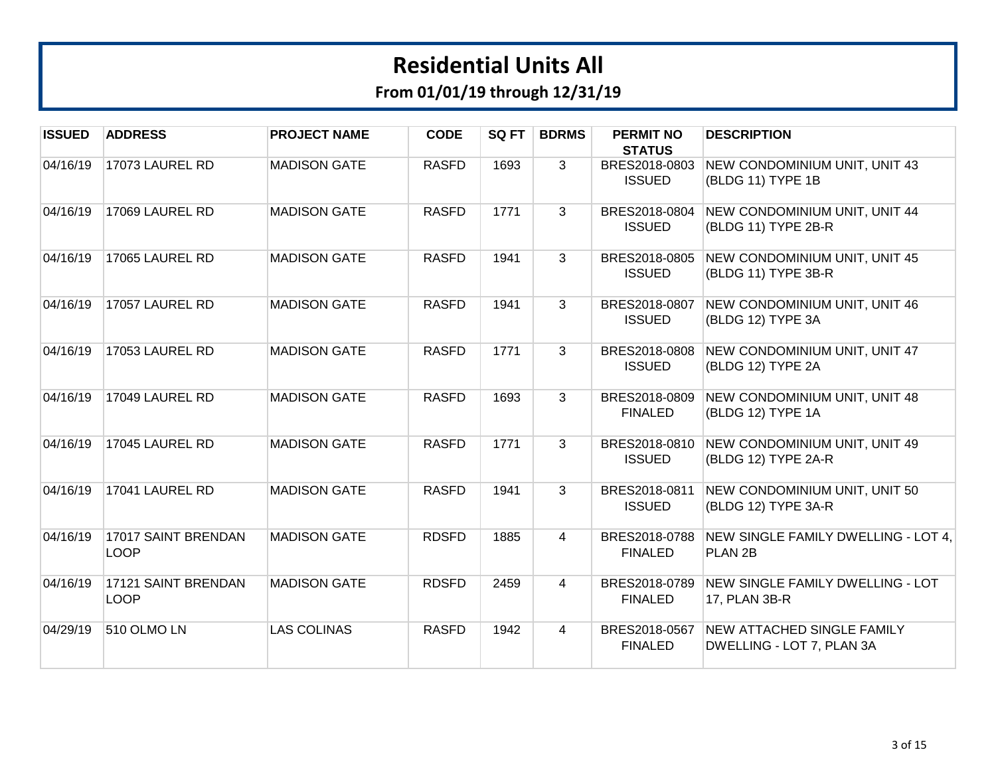| <b>ISSUED</b> | <b>ADDRESS</b>                     | <b>PROJECT NAME</b> | <b>CODE</b>  | SQ FT | <b>BDRMS</b>   | <b>PERMIT NO</b><br><b>STATUS</b> | <b>DESCRIPTION</b>                                             |
|---------------|------------------------------------|---------------------|--------------|-------|----------------|-----------------------------------|----------------------------------------------------------------|
| 04/16/19      | 17073 LAUREL RD                    | <b>MADISON GATE</b> | <b>RASFD</b> | 1693  | 3              | BRES2018-0803<br><b>ISSUED</b>    | NEW CONDOMINIUM UNIT, UNIT 43<br>(BLDG 11) TYPE 1B             |
| 04/16/19      | 17069 LAUREL RD                    | <b>MADISON GATE</b> | <b>RASFD</b> | 1771  | 3              | BRES2018-0804<br><b>ISSUED</b>    | NEW CONDOMINIUM UNIT, UNIT 44<br>(BLDG 11) TYPE 2B-R           |
| 04/16/19      | 17065 LAUREL RD                    | <b>MADISON GATE</b> | <b>RASFD</b> | 1941  | 3              | BRES2018-0805<br><b>ISSUED</b>    | NEW CONDOMINIUM UNIT, UNIT 45<br>(BLDG 11) TYPE 3B-R           |
| 04/16/19      | 17057 LAUREL RD                    | <b>MADISON GATE</b> | <b>RASFD</b> | 1941  | 3              | BRES2018-0807<br><b>ISSUED</b>    | NEW CONDOMINIUM UNIT, UNIT 46<br>(BLDG 12) TYPE 3A             |
| 04/16/19      | 17053 LAUREL RD                    | <b>MADISON GATE</b> | <b>RASFD</b> | 1771  | 3              | BRES2018-0808<br><b>ISSUED</b>    | NEW CONDOMINIUM UNIT, UNIT 47<br>(BLDG 12) TYPE 2A             |
| 04/16/19      | 17049 LAUREL RD                    | <b>MADISON GATE</b> | <b>RASFD</b> | 1693  | 3              | BRES2018-0809<br><b>FINALED</b>   | NEW CONDOMINIUM UNIT, UNIT 48<br>(BLDG 12) TYPE 1A             |
| 04/16/19      | 17045 LAUREL RD                    | <b>MADISON GATE</b> | <b>RASFD</b> | 1771  | 3              | BRES2018-0810<br><b>ISSUED</b>    | NEW CONDOMINIUM UNIT, UNIT 49<br>(BLDG 12) TYPE 2A-R           |
| 04/16/19      | 17041 LAUREL RD                    | <b>MADISON GATE</b> | <b>RASFD</b> | 1941  | 3              | BRES2018-0811<br><b>ISSUED</b>    | NEW CONDOMINIUM UNIT, UNIT 50<br>(BLDG 12) TYPE 3A-R           |
| 04/16/19      | 17017 SAINT BRENDAN<br><b>LOOP</b> | <b>MADISON GATE</b> | <b>RDSFD</b> | 1885  | $\overline{4}$ | BRES2018-0788<br><b>FINALED</b>   | NEW SINGLE FAMILY DWELLING - LOT 4,<br>PLAN <sub>2B</sub>      |
| 04/16/19      | 17121 SAINT BRENDAN<br><b>LOOP</b> | <b>MADISON GATE</b> | <b>RDSFD</b> | 2459  | 4              | BRES2018-0789<br><b>FINALED</b>   | NEW SINGLE FAMILY DWELLING - LOT<br>17, PLAN 3B-R              |
| 04/29/19      | 510 OLMO LN                        | <b>LAS COLINAS</b>  | <b>RASFD</b> | 1942  | $\overline{4}$ | BRES2018-0567<br><b>FINALED</b>   | <b>NEW ATTACHED SINGLE FAMILY</b><br>DWELLING - LOT 7, PLAN 3A |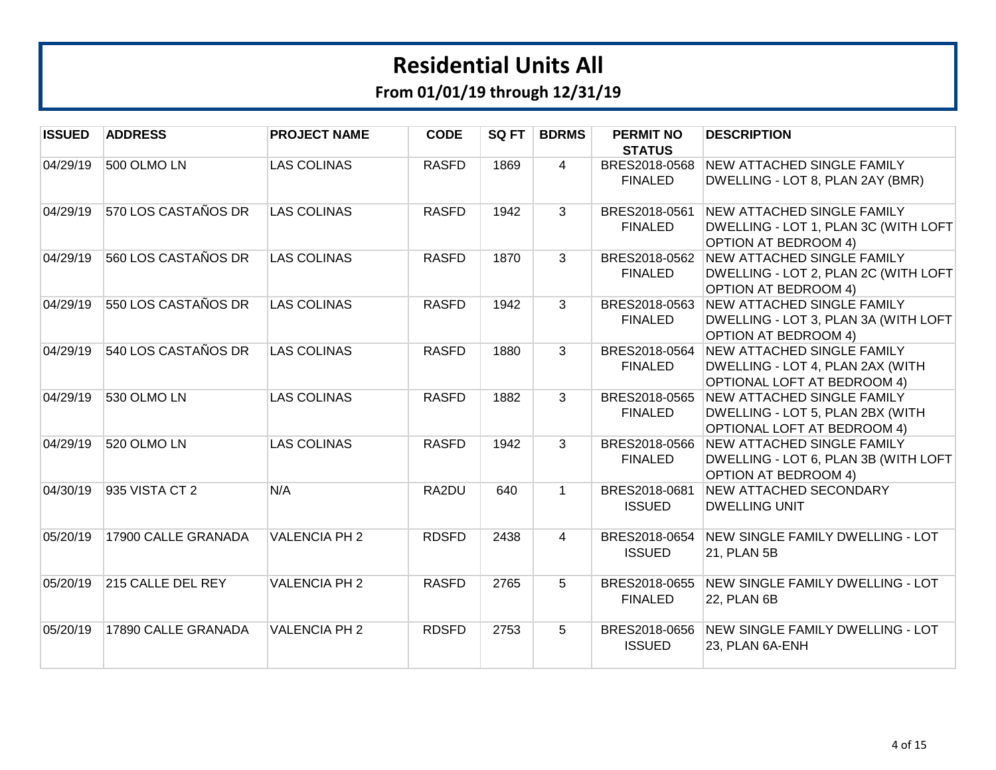| <b>ISSUED</b> | <b>ADDRESS</b>      | <b>PROJECT NAME</b>  | <b>CODE</b>  | SQ FT | <b>BDRMS</b>   | <b>PERMIT NO</b><br><b>STATUS</b> | <b>DESCRIPTION</b>                                                                                              |
|---------------|---------------------|----------------------|--------------|-------|----------------|-----------------------------------|-----------------------------------------------------------------------------------------------------------------|
| 04/29/19      | 500 OLMO LN         | <b>LAS COLINAS</b>   | <b>RASFD</b> | 1869  | $\overline{4}$ | BRES2018-0568<br><b>FINALED</b>   | <b>NEW ATTACHED SINGLE FAMILY</b><br>DWELLING - LOT 8, PLAN 2AY (BMR)                                           |
| 04/29/19      | 570 LOS CASTAÑOS DR | <b>LAS COLINAS</b>   | <b>RASFD</b> | 1942  | 3              | BRES2018-0561<br><b>FINALED</b>   | <b>NEW ATTACHED SINGLE FAMILY</b><br>DWELLING - LOT 1, PLAN 3C (WITH LOFT<br><b>OPTION AT BEDROOM 4)</b>        |
| 04/29/19      | 560 LOS CASTAÑOS DR | <b>LAS COLINAS</b>   | <b>RASFD</b> | 1870  | 3              | BRES2018-0562<br><b>FINALED</b>   | <b>NEW ATTACHED SINGLE FAMILY</b><br>DWELLING - LOT 2, PLAN 2C (WITH LOFT<br><b>OPTION AT BEDROOM 4)</b>        |
| 04/29/19      | 550 LOS CASTAÑOS DR | <b>LAS COLINAS</b>   | <b>RASFD</b> | 1942  | 3              | BRES2018-0563<br><b>FINALED</b>   | <b>NEW ATTACHED SINGLE FAMILY</b><br>DWELLING - LOT 3, PLAN 3A (WITH LOFT<br><b>OPTION AT BEDROOM 4)</b>        |
| 04/29/19      | 540 LOS CASTAÑOS DR | <b>LAS COLINAS</b>   | <b>RASFD</b> | 1880  | 3              | BRES2018-0564<br><b>FINALED</b>   | <b>NEW ATTACHED SINGLE FAMILY</b><br>DWELLING - LOT 4, PLAN 2AX (WITH<br><b>OPTIONAL LOFT AT BEDROOM 4)</b>     |
| 04/29/19      | 530 OLMO LN         | <b>LAS COLINAS</b>   | <b>RASFD</b> | 1882  | 3              | BRES2018-0565<br><b>FINALED</b>   | <b>NEW ATTACHED SINGLE FAMILY</b><br>DWELLING - LOT 5, PLAN 2BX (WITH<br><b>OPTIONAL LOFT AT BEDROOM 4)</b>     |
| 04/29/19      | 520 OLMO LN         | <b>LAS COLINAS</b>   | <b>RASFD</b> | 1942  | 3              | <b>FINALED</b>                    | BRES2018-0566 NEW ATTACHED SINGLE FAMILY<br>DWELLING - LOT 6, PLAN 3B (WITH LOFT<br><b>OPTION AT BEDROOM 4)</b> |
| 04/30/19      | 935 VISTA CT 2      | N/A                  | RA2DU        | 640   | $\mathbf{1}$   | BRES2018-0681<br><b>ISSUED</b>    | <b>NEW ATTACHED SECONDARY</b><br><b>DWELLING UNIT</b>                                                           |
| 05/20/19      | 17900 CALLE GRANADA | <b>VALENCIA PH 2</b> | <b>RDSFD</b> | 2438  | $\overline{4}$ | BRES2018-0654<br><b>ISSUED</b>    | NEW SINGLE FAMILY DWELLING - LOT<br>21, PLAN 5B                                                                 |
| 05/20/19      | 215 CALLE DEL REY   | <b>VALENCIA PH 2</b> | <b>RASFD</b> | 2765  | 5              | BRES2018-0655<br><b>FINALED</b>   | NEW SINGLE FAMILY DWELLING - LOT<br><b>22, PLAN 6B</b>                                                          |
| 05/20/19      | 17890 CALLE GRANADA | <b>VALENCIA PH 2</b> | <b>RDSFD</b> | 2753  | 5              | BRES2018-0656<br><b>ISSUED</b>    | NEW SINGLE FAMILY DWELLING - LOT<br>23, PLAN 6A-ENH                                                             |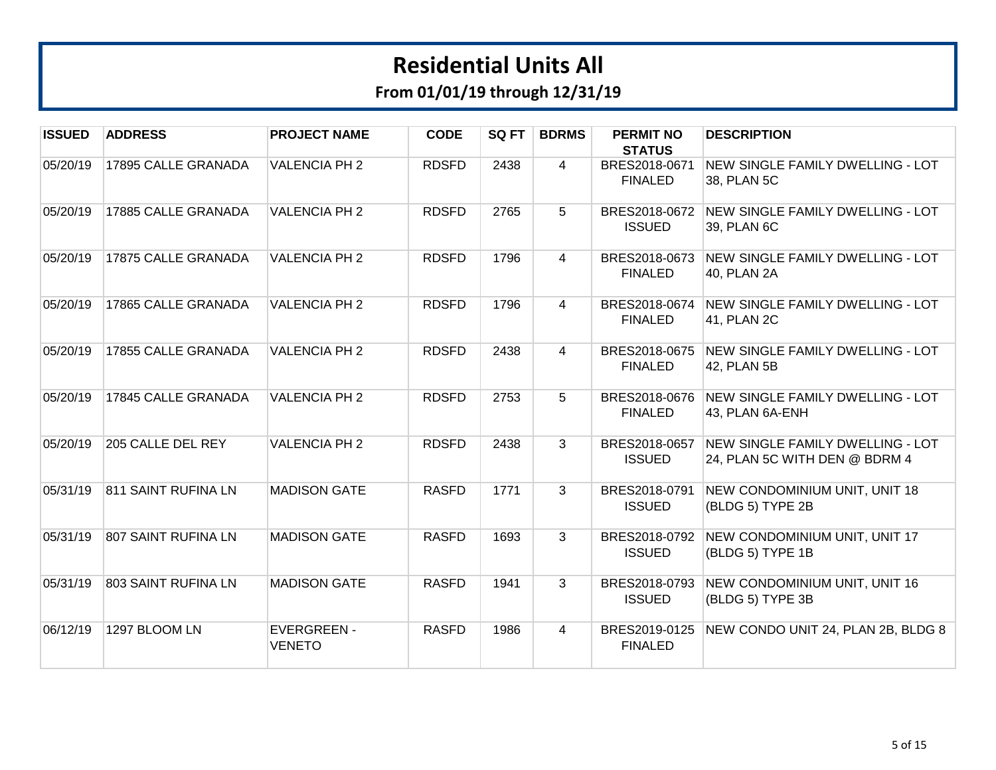| <b>ISSUED</b> | <b>ADDRESS</b>      | <b>PROJECT NAME</b>                 | <b>CODE</b>  | SQ FT | <b>BDRMS</b> | <b>PERMIT NO</b><br><b>STATUS</b> | <b>DESCRIPTION</b>                                                |
|---------------|---------------------|-------------------------------------|--------------|-------|--------------|-----------------------------------|-------------------------------------------------------------------|
| 05/20/19      | 17895 CALLE GRANADA | <b>VALENCIA PH 2</b>                | <b>RDSFD</b> | 2438  | 4            | BRES2018-0671<br><b>FINALED</b>   | NEW SINGLE FAMILY DWELLING - LOT<br>38, PLAN 5C                   |
| 05/20/19      | 17885 CALLE GRANADA | <b>VALENCIA PH 2</b>                | <b>RDSFD</b> | 2765  | 5            | BRES2018-0672<br><b>ISSUED</b>    | NEW SINGLE FAMILY DWELLING - LOT<br>39, PLAN 6C                   |
| 05/20/19      | 17875 CALLE GRANADA | <b>VALENCIA PH 2</b>                | <b>RDSFD</b> | 1796  | 4            | BRES2018-0673<br><b>FINALED</b>   | NEW SINGLE FAMILY DWELLING - LOT<br>40, PLAN 2A                   |
| 05/20/19      | 17865 CALLE GRANADA | <b>VALENCIA PH 2</b>                | <b>RDSFD</b> | 1796  | 4            | BRES2018-0674<br><b>FINALED</b>   | NEW SINGLE FAMILY DWELLING - LOT<br>41, PLAN 2C                   |
| 05/20/19      | 17855 CALLE GRANADA | <b>VALENCIA PH 2</b>                | <b>RDSFD</b> | 2438  | 4            | BRES2018-0675<br><b>FINALED</b>   | NEW SINGLE FAMILY DWELLING - LOT<br>42, PLAN 5B                   |
| 05/20/19      | 17845 CALLE GRANADA | <b>VALENCIA PH 2</b>                | <b>RDSFD</b> | 2753  | 5            | BRES2018-0676<br><b>FINALED</b>   | <b>NEW SINGLE FAMILY DWELLING - LOT</b><br>43, PLAN 6A-ENH        |
| 05/20/19      | 205 CALLE DEL REY   | <b>VALENCIA PH 2</b>                | <b>RDSFD</b> | 2438  | 3            | BRES2018-0657<br><b>ISSUED</b>    | NEW SINGLE FAMILY DWELLING - LOT<br>24, PLAN 5C WITH DEN @ BDRM 4 |
| 05/31/19      | 811 SAINT RUFINA LN | <b>MADISON GATE</b>                 | <b>RASFD</b> | 1771  | 3            | BRES2018-0791<br><b>ISSUED</b>    | NEW CONDOMINIUM UNIT, UNIT 18<br>(BLDG 5) TYPE 2B                 |
| 05/31/19      | 807 SAINT RUFINA LN | <b>MADISON GATE</b>                 | <b>RASFD</b> | 1693  | 3            | BRES2018-0792<br><b>ISSUED</b>    | NEW CONDOMINIUM UNIT, UNIT 17<br>(BLDG 5) TYPE 1B                 |
| 05/31/19      | 803 SAINT RUFINA LN | <b>MADISON GATE</b>                 | <b>RASFD</b> | 1941  | 3            | BRES2018-0793<br><b>ISSUED</b>    | NEW CONDOMINIUM UNIT, UNIT 16<br>(BLDG 5) TYPE 3B                 |
| 06/12/19      | 1297 BLOOM LN       | <b>EVERGREEN -</b><br><b>VENETO</b> | <b>RASFD</b> | 1986  | 4            | BRES2019-0125<br><b>FINALED</b>   | NEW CONDO UNIT 24, PLAN 2B, BLDG 8                                |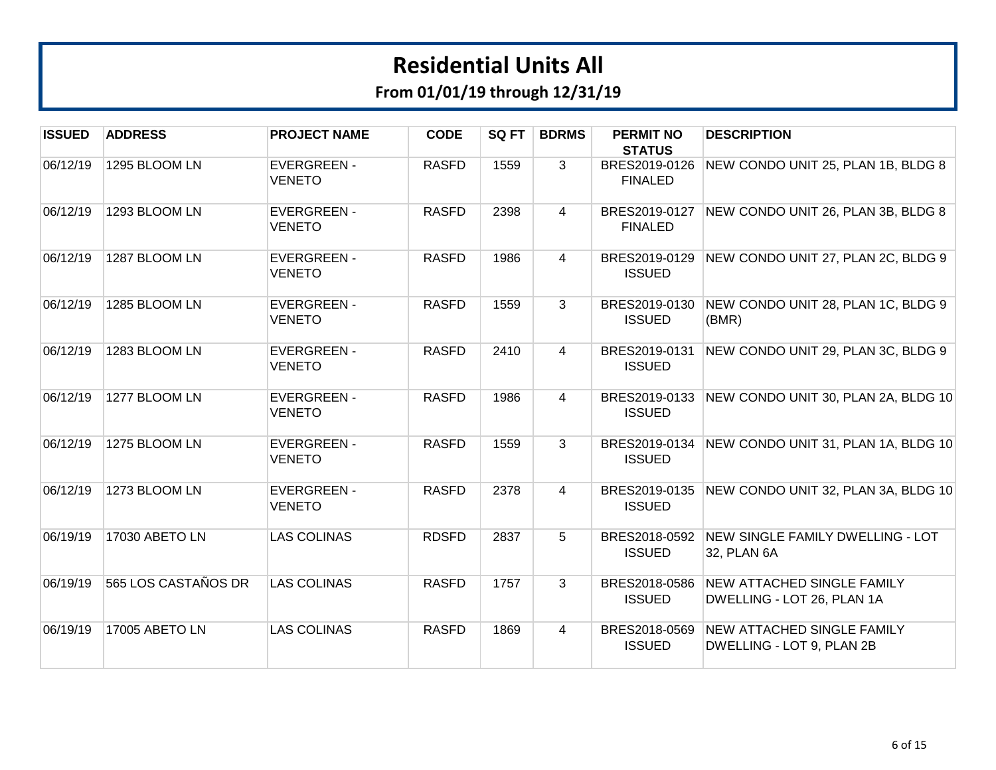| <b>ISSUED</b> | <b>ADDRESS</b>      | <b>PROJECT NAME</b>                 | <b>CODE</b>  | SQ FT | <b>BDRMS</b>   | <b>PERMIT NO</b><br><b>STATUS</b> | <b>DESCRIPTION</b>                                              |
|---------------|---------------------|-------------------------------------|--------------|-------|----------------|-----------------------------------|-----------------------------------------------------------------|
| 06/12/19      | 1295 BLOOM LN       | <b>EVERGREEN -</b><br><b>VENETO</b> | <b>RASFD</b> | 1559  | 3              | BRES2019-0126<br><b>FINALED</b>   | NEW CONDO UNIT 25, PLAN 1B, BLDG 8                              |
| 06/12/19      | 1293 BLOOM LN       | <b>EVERGREEN -</b><br><b>VENETO</b> | <b>RASFD</b> | 2398  | $\overline{4}$ | BRES2019-0127<br><b>FINALED</b>   | NEW CONDO UNIT 26, PLAN 3B, BLDG 8                              |
| 06/12/19      | 1287 BLOOM LN       | <b>EVERGREEN -</b><br><b>VENETO</b> | <b>RASFD</b> | 1986  | 4              | BRES2019-0129<br><b>ISSUED</b>    | NEW CONDO UNIT 27, PLAN 2C, BLDG 9                              |
| 06/12/19      | 1285 BLOOM LN       | <b>EVERGREEN -</b><br><b>VENETO</b> | <b>RASFD</b> | 1559  | 3              | BRES2019-0130<br><b>ISSUED</b>    | NEW CONDO UNIT 28, PLAN 1C, BLDG 9<br>(BMR)                     |
| 06/12/19      | 1283 BLOOM LN       | <b>EVERGREEN -</b><br><b>VENETO</b> | <b>RASFD</b> | 2410  | 4              | BRES2019-0131<br><b>ISSUED</b>    | NEW CONDO UNIT 29, PLAN 3C, BLDG 9                              |
| 06/12/19      | 1277 BLOOM LN       | <b>EVERGREEN -</b><br><b>VENETO</b> | <b>RASFD</b> | 1986  | $\overline{4}$ | BRES2019-0133<br><b>ISSUED</b>    | NEW CONDO UNIT 30, PLAN 2A, BLDG 10                             |
| 06/12/19      | 1275 BLOOM LN       | <b>EVERGREEN -</b><br><b>VENETO</b> | <b>RASFD</b> | 1559  | 3              | <b>ISSUED</b>                     | BRES2019-0134 NEW CONDO UNIT 31, PLAN 1A, BLDG 10               |
| 06/12/19      | 1273 BLOOM LN       | <b>EVERGREEN -</b><br><b>VENETO</b> | <b>RASFD</b> | 2378  | $\overline{4}$ | BRES2019-0135<br><b>ISSUED</b>    | NEW CONDO UNIT 32, PLAN 3A, BLDG 10                             |
| 06/19/19      | 17030 ABETO LN      | <b>LAS COLINAS</b>                  | <b>RDSFD</b> | 2837  | 5              | <b>ISSUED</b>                     | BRES2018-0592 NEW SINGLE FAMILY DWELLING - LOT<br>32, PLAN 6A   |
| 06/19/19      | 565 LOS CASTAÑOS DR | <b>LAS COLINAS</b>                  | <b>RASFD</b> | 1757  | 3              | BRES2018-0586<br><b>ISSUED</b>    | <b>NEW ATTACHED SINGLE FAMILY</b><br>DWELLING - LOT 26, PLAN 1A |
| 06/19/19      | 17005 ABETO LN      | <b>LAS COLINAS</b>                  | <b>RASFD</b> | 1869  | $\overline{4}$ | BRES2018-0569<br><b>ISSUED</b>    | <b>NEW ATTACHED SINGLE FAMILY</b><br>DWELLING - LOT 9, PLAN 2B  |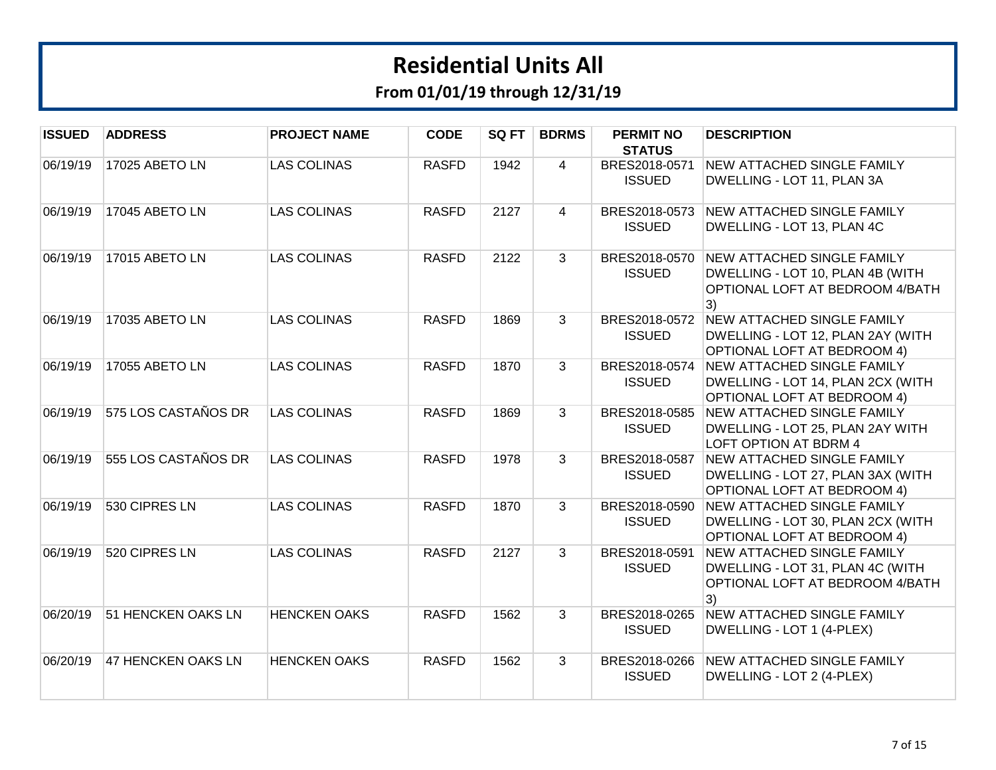| <b>ISSUED</b> | <b>ADDRESS</b>      | <b>PROJECT NAME</b> | <b>CODE</b>  | SQ FT | <b>BDRMS</b>   | <b>PERMIT NO</b><br><b>STATUS</b> | <b>DESCRIPTION</b>                                                                                                  |
|---------------|---------------------|---------------------|--------------|-------|----------------|-----------------------------------|---------------------------------------------------------------------------------------------------------------------|
| 06/19/19      | 17025 ABETO LN      | <b>LAS COLINAS</b>  | <b>RASFD</b> | 1942  | 4              | BRES2018-0571<br><b>ISSUED</b>    | <b>NEW ATTACHED SINGLE FAMILY</b><br>DWELLING - LOT 11, PLAN 3A                                                     |
| 06/19/19      | 17045 ABETO LN      | <b>LAS COLINAS</b>  | <b>RASFD</b> | 2127  | $\overline{4}$ | <b>ISSUED</b>                     | BRES2018-0573 NEW ATTACHED SINGLE FAMILY<br>DWELLING - LOT 13, PLAN 4C                                              |
| 06/19/19      | 17015 ABETO LN      | <b>LAS COLINAS</b>  | <b>RASFD</b> | 2122  | 3              | BRES2018-0570<br><b>ISSUED</b>    | <b>NEW ATTACHED SINGLE FAMILY</b><br>DWELLING - LOT 10, PLAN 4B (WITH<br>OPTIONAL LOFT AT BEDROOM 4/BATH<br>3)      |
| 06/19/19      | 17035 ABETO LN      | <b>LAS COLINAS</b>  | <b>RASFD</b> | 1869  | 3              | <b>ISSUED</b>                     | BRES2018-0572 NEW ATTACHED SINGLE FAMILY<br>DWELLING - LOT 12, PLAN 2AY (WITH<br><b>OPTIONAL LOFT AT BEDROOM 4)</b> |
| 06/19/19      | 17055 ABETO LN      | <b>LAS COLINAS</b>  | <b>RASFD</b> | 1870  | 3              | BRES2018-0574<br><b>ISSUED</b>    | <b>NEW ATTACHED SINGLE FAMILY</b><br>DWELLING - LOT 14, PLAN 2CX (WITH<br>OPTIONAL LOFT AT BEDROOM 4)               |
| 06/19/19      | 575 LOS CASTAÑOS DR | <b>LAS COLINAS</b>  | <b>RASFD</b> | 1869  | 3              | BRES2018-0585<br><b>ISSUED</b>    | <b>NEW ATTACHED SINGLE FAMILY</b><br>DWELLING - LOT 25, PLAN 2AY WITH<br><b>LOFT OPTION AT BDRM 4</b>               |
| 06/19/19      | 555 LOS CASTAÑOS DR | <b>LAS COLINAS</b>  | <b>RASFD</b> | 1978  | 3              | BRES2018-0587<br><b>ISSUED</b>    | NEW ATTACHED SINGLE FAMILY<br>DWELLING - LOT 27, PLAN 3AX (WITH<br><b>OPTIONAL LOFT AT BEDROOM 4)</b>               |
| 06/19/19      | 530 CIPRES LN       | <b>LAS COLINAS</b>  | <b>RASFD</b> | 1870  | 3              | BRES2018-0590<br><b>ISSUED</b>    | <b>NEW ATTACHED SINGLE FAMILY</b><br>DWELLING - LOT 30, PLAN 2CX (WITH<br><b>OPTIONAL LOFT AT BEDROOM 4)</b>        |
| 06/19/19      | 520 CIPRES LN       | <b>LAS COLINAS</b>  | <b>RASFD</b> | 2127  | 3              | BRES2018-0591<br><b>ISSUED</b>    | NEW ATTACHED SINGLE FAMILY<br>DWELLING - LOT 31, PLAN 4C (WITH<br>OPTIONAL LOFT AT BEDROOM 4/BATH<br>3)             |
| 06/20/19      | 51 HENCKEN OAKS LN  | <b>HENCKEN OAKS</b> | <b>RASFD</b> | 1562  | 3              | <b>ISSUED</b>                     | BRES2018-0265 NEW ATTACHED SINGLE FAMILY<br>DWELLING - LOT 1 (4-PLEX)                                               |
| 06/20/19      | 47 HENCKEN OAKS LN  | <b>HENCKEN OAKS</b> | <b>RASFD</b> | 1562  | 3              | <b>ISSUED</b>                     | BRES2018-0266 NEW ATTACHED SINGLE FAMILY<br>DWELLING - LOT 2 (4-PLEX)                                               |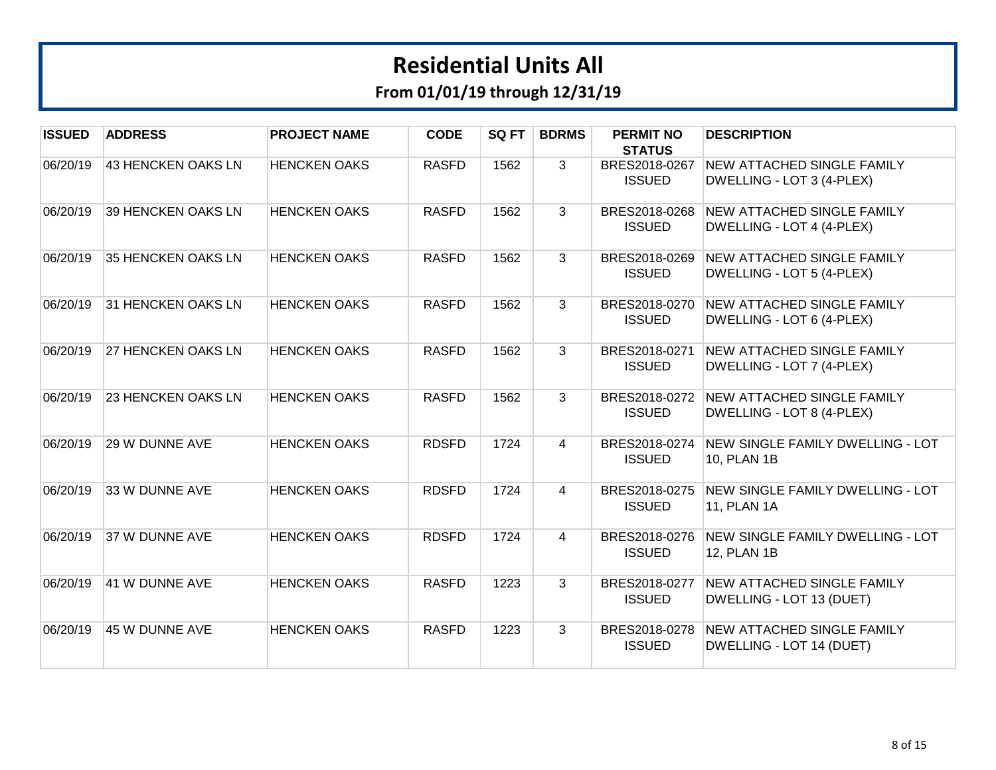| <b>ISSUED</b> | <b>ADDRESS</b>     | <b>PROJECT NAME</b> | <b>CODE</b>  | SQ FT | <b>BDRMS</b>   | <b>PERMIT NO</b><br><b>STATUS</b> | <b>DESCRIPTION</b>                                                    |
|---------------|--------------------|---------------------|--------------|-------|----------------|-----------------------------------|-----------------------------------------------------------------------|
| 06/20/19      | 43 HENCKEN OAKS LN | <b>HENCKEN OAKS</b> | <b>RASFD</b> | 1562  | $\mathbf{3}$   | BRES2018-0267<br><b>ISSUED</b>    | <b>NEW ATTACHED SINGLE FAMILY</b><br>DWELLING - LOT 3 (4-PLEX)        |
| 06/20/19      | 39 HENCKEN OAKS LN | <b>HENCKEN OAKS</b> | <b>RASFD</b> | 1562  | 3              | <b>ISSUED</b>                     | BRES2018-0268 NEW ATTACHED SINGLE FAMILY<br>DWELLING - LOT 4 (4-PLEX) |
| 06/20/19      | 35 HENCKEN OAKS LN | <b>HENCKEN OAKS</b> | <b>RASFD</b> | 1562  | $\mathbf{3}$   | BRES2018-0269<br><b>ISSUED</b>    | <b>NEW ATTACHED SINGLE FAMILY</b><br>DWELLING - LOT 5 (4-PLEX)        |
| 06/20/19      | 31 HENCKEN OAKS LN | <b>HENCKEN OAKS</b> | <b>RASFD</b> | 1562  | 3              | BRES2018-0270<br><b>ISSUED</b>    | <b>NEW ATTACHED SINGLE FAMILY</b><br>DWELLING - LOT 6 (4-PLEX)        |
| 06/20/19      | 27 HENCKEN OAKS LN | <b>HENCKEN OAKS</b> | <b>RASFD</b> | 1562  | $\overline{3}$ | BRES2018-0271<br><b>ISSUED</b>    | <b>NEW ATTACHED SINGLE FAMILY</b><br>DWELLING - LOT 7 (4-PLEX)        |
| 06/20/19      | 23 HENCKEN OAKS LN | <b>HENCKEN OAKS</b> | <b>RASFD</b> | 1562  | 3              | BRES2018-0272<br><b>ISSUED</b>    | <b>NEW ATTACHED SINGLE FAMILY</b><br>DWELLING - LOT 8 (4-PLEX)        |
| 06/20/19      | 29 W DUNNE AVE     | <b>HENCKEN OAKS</b> | <b>RDSFD</b> | 1724  | $\overline{4}$ | BRES2018-0274<br><b>ISSUED</b>    | NEW SINGLE FAMILY DWELLING - LOT<br>10, PLAN 1B                       |
| 06/20/19      | 33 W DUNNE AVE     | <b>HENCKEN OAKS</b> | <b>RDSFD</b> | 1724  | 4              | BRES2018-0275<br><b>ISSUED</b>    | NEW SINGLE FAMILY DWELLING - LOT<br>11, PLAN 1A                       |
| 06/20/19      | 37 W DUNNE AVE     | <b>HENCKEN OAKS</b> | <b>RDSFD</b> | 1724  | 4              | BRES2018-0276<br><b>ISSUED</b>    | NEW SINGLE FAMILY DWELLING - LOT<br>12, PLAN 1B                       |
| 06/20/19      | 41 W DUNNE AVE     | <b>HENCKEN OAKS</b> | <b>RASFD</b> | 1223  | 3              | BRES2018-0277<br><b>ISSUED</b>    | <b>NEW ATTACHED SINGLE FAMILY</b><br>DWELLING - LOT 13 (DUET)         |
| 06/20/19      | 45 W DUNNE AVE     | <b>HENCKEN OAKS</b> | <b>RASFD</b> | 1223  | 3              | BRES2018-0278<br><b>ISSUED</b>    | <b>NEW ATTACHED SINGLE FAMILY</b><br>DWELLING - LOT 14 (DUET)         |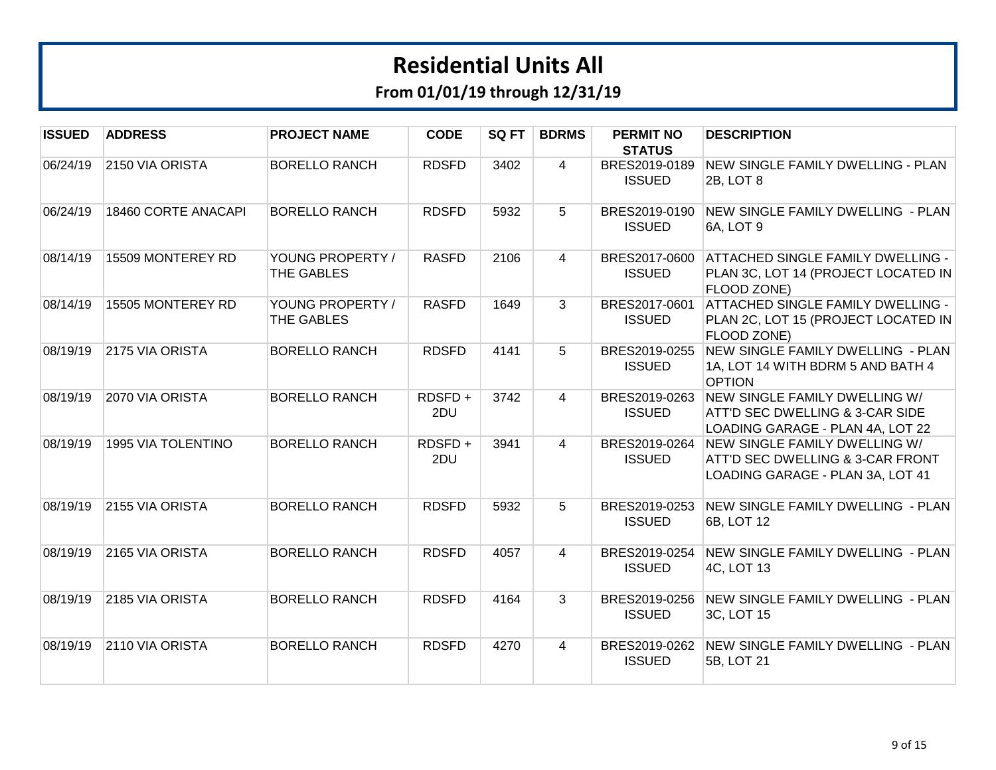| <b>ISSUED</b> | <b>ADDRESS</b>      | <b>PROJECT NAME</b>            | <b>CODE</b>   | SQ FT | <b>BDRMS</b>   | <b>PERMIT NO</b><br><b>STATUS</b> | <b>DESCRIPTION</b>                                                                                    |
|---------------|---------------------|--------------------------------|---------------|-------|----------------|-----------------------------------|-------------------------------------------------------------------------------------------------------|
| 06/24/19      | 2150 VIA ORISTA     | <b>BORELLO RANCH</b>           | <b>RDSFD</b>  | 3402  | $\overline{4}$ | BRES2019-0189<br><b>ISSUED</b>    | NEW SINGLE FAMILY DWELLING - PLAN<br>2B, LOT 8                                                        |
| 06/24/19      | 18460 CORTE ANACAPI | <b>BORELLO RANCH</b>           | <b>RDSFD</b>  | 5932  | 5              | BRES2019-0190<br><b>ISSUED</b>    | NEW SINGLE FAMILY DWELLING - PLAN<br>6A, LOT 9                                                        |
| 08/14/19      | 15509 MONTEREY RD   | YOUNG PROPERTY /<br>THE GABLES | <b>RASFD</b>  | 2106  | $\overline{4}$ | BRES2017-0600<br><b>ISSUED</b>    | <b>ATTACHED SINGLE FAMILY DWELLING -</b><br>PLAN 3C, LOT 14 (PROJECT LOCATED IN<br>FLOOD ZONE)        |
| 08/14/19      | 15505 MONTEREY RD   | YOUNG PROPERTY /<br>THE GABLES | <b>RASFD</b>  | 1649  | 3              | BRES2017-0601<br><b>ISSUED</b>    | ATTACHED SINGLE FAMILY DWELLING -<br>PLAN 2C, LOT 15 (PROJECT LOCATED IN<br>FLOOD ZONE)               |
| 08/19/19      | 2175 VIA ORISTA     | <b>BORELLO RANCH</b>           | <b>RDSFD</b>  | 4141  | 5              | BRES2019-0255<br><b>ISSUED</b>    | NEW SINGLE FAMILY DWELLING - PLAN<br>1A, LOT 14 WITH BDRM 5 AND BATH 4<br><b>OPTION</b>               |
| 08/19/19      | 2070 VIA ORISTA     | <b>BORELLO RANCH</b>           | RDSFD+<br>2DU | 3742  | $\overline{4}$ | BRES2019-0263<br><b>ISSUED</b>    | NEW SINGLE FAMILY DWELLING W/<br>ATT'D SEC DWELLING & 3-CAR SIDE<br>LOADING GARAGE - PLAN 4A, LOT 22  |
| 08/19/19      | 1995 VIA TOLENTINO  | <b>BORELLO RANCH</b>           | RDSFD+<br>2DU | 3941  | $\overline{4}$ | BRES2019-0264<br><b>ISSUED</b>    | NEW SINGLE FAMILY DWELLING W/<br>ATT'D SEC DWELLING & 3-CAR FRONT<br>LOADING GARAGE - PLAN 3A, LOT 41 |
| 08/19/19      | 2155 VIA ORISTA     | <b>BORELLO RANCH</b>           | <b>RDSFD</b>  | 5932  | 5              | BRES2019-0253<br><b>ISSUED</b>    | NEW SINGLE FAMILY DWELLING - PLAN<br>6B, LOT 12                                                       |
| 08/19/19      | 2165 VIA ORISTA     | <b>BORELLO RANCH</b>           | <b>RDSFD</b>  | 4057  | 4              | BRES2019-0254<br><b>ISSUED</b>    | NEW SINGLE FAMILY DWELLING - PLAN<br>4C, LOT 13                                                       |
| 08/19/19      | 2185 VIA ORISTA     | <b>BORELLO RANCH</b>           | <b>RDSFD</b>  | 4164  | 3              | BRES2019-0256<br><b>ISSUED</b>    | NEW SINGLE FAMILY DWELLING - PLAN<br>3C, LOT 15                                                       |
| 08/19/19      | 2110 VIA ORISTA     | <b>BORELLO RANCH</b>           | <b>RDSFD</b>  | 4270  | 4              | <b>ISSUED</b>                     | BRES2019-0262 NEW SINGLE FAMILY DWELLING - PLAN<br>5B, LOT 21                                         |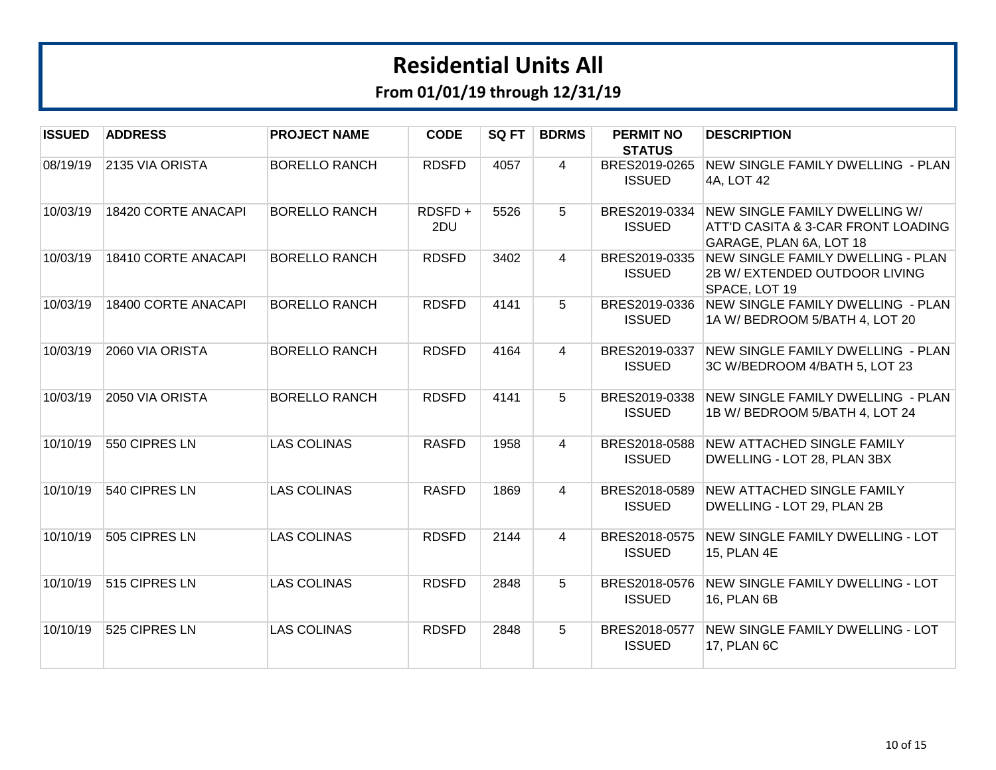| <b>ISSUED</b> | <b>ADDRESS</b>      | <b>PROJECT NAME</b>  | <b>CODE</b>   | SQ FT | <b>BDRMS</b>   | <b>PERMIT NO</b><br><b>STATUS</b> | <b>DESCRIPTION</b>                                                                             |
|---------------|---------------------|----------------------|---------------|-------|----------------|-----------------------------------|------------------------------------------------------------------------------------------------|
| 08/19/19      | 2135 VIA ORISTA     | <b>BORELLO RANCH</b> | <b>RDSFD</b>  | 4057  | $\overline{4}$ | BRES2019-0265<br><b>ISSUED</b>    | NEW SINGLE FAMILY DWELLING - PLAN<br>4A, LOT 42                                                |
| 10/03/19      | 18420 CORTE ANACAPI | <b>BORELLO RANCH</b> | RDSFD+<br>2DU | 5526  | 5              | BRES2019-0334<br><b>ISSUED</b>    | NEW SINGLE FAMILY DWELLING W/<br>ATT'D CASITA & 3-CAR FRONT LOADING<br>GARAGE, PLAN 6A, LOT 18 |
| 10/03/19      | 18410 CORTE ANACAPI | <b>BORELLO RANCH</b> | <b>RDSFD</b>  | 3402  | $\overline{4}$ | BRES2019-0335<br><b>ISSUED</b>    | NEW SINGLE FAMILY DWELLING - PLAN<br>2B W/ EXTENDED OUTDOOR LIVING<br>SPACE, LOT 19            |
| 10/03/19      | 18400 CORTE ANACAPI | <b>BORELLO RANCH</b> | <b>RDSFD</b>  | 4141  | 5              | BRES2019-0336<br><b>ISSUED</b>    | NEW SINGLE FAMILY DWELLING - PLAN<br>1A W/BEDROOM 5/BATH 4, LOT 20                             |
| 10/03/19      | 2060 VIA ORISTA     | <b>BORELLO RANCH</b> | <b>RDSFD</b>  | 4164  | $\overline{4}$ | BRES2019-0337<br><b>ISSUED</b>    | NEW SINGLE FAMILY DWELLING - PLAN<br>3C W/BEDROOM 4/BATH 5, LOT 23                             |
| 10/03/19      | 2050 VIA ORISTA     | <b>BORELLO RANCH</b> | <b>RDSFD</b>  | 4141  | 5              | BRES2019-0338<br><b>ISSUED</b>    | NEW SINGLE FAMILY DWELLING - PLAN<br>1B W/BEDROOM 5/BATH 4, LOT 24                             |
| 10/10/19      | 550 CIPRES LN       | <b>LAS COLINAS</b>   | <b>RASFD</b>  | 1958  | $\overline{4}$ | BRES2018-0588<br><b>ISSUED</b>    | <b>NEW ATTACHED SINGLE FAMILY</b><br>DWELLING - LOT 28, PLAN 3BX                               |
| 10/10/19      | 540 CIPRES LN       | <b>LAS COLINAS</b>   | <b>RASFD</b>  | 1869  | $\overline{4}$ | BRES2018-0589<br><b>ISSUED</b>    | <b>NEW ATTACHED SINGLE FAMILY</b><br>DWELLING - LOT 29, PLAN 2B                                |
| 10/10/19      | 505 CIPRES LN       | <b>LAS COLINAS</b>   | <b>RDSFD</b>  | 2144  | $\overline{4}$ | BRES2018-0575<br><b>ISSUED</b>    | NEW SINGLE FAMILY DWELLING - LOT<br>15, PLAN 4E                                                |
| 10/10/19      | 515 CIPRES LN       | <b>LAS COLINAS</b>   | <b>RDSFD</b>  | 2848  | 5              | BRES2018-0576<br><b>ISSUED</b>    | NEW SINGLE FAMILY DWELLING - LOT<br>16, PLAN 6B                                                |
| 10/10/19      | 525 CIPRES LN       | <b>LAS COLINAS</b>   | <b>RDSFD</b>  | 2848  | 5              | BRES2018-0577<br><b>ISSUED</b>    | NEW SINGLE FAMILY DWELLING - LOT<br>17, PLAN 6C                                                |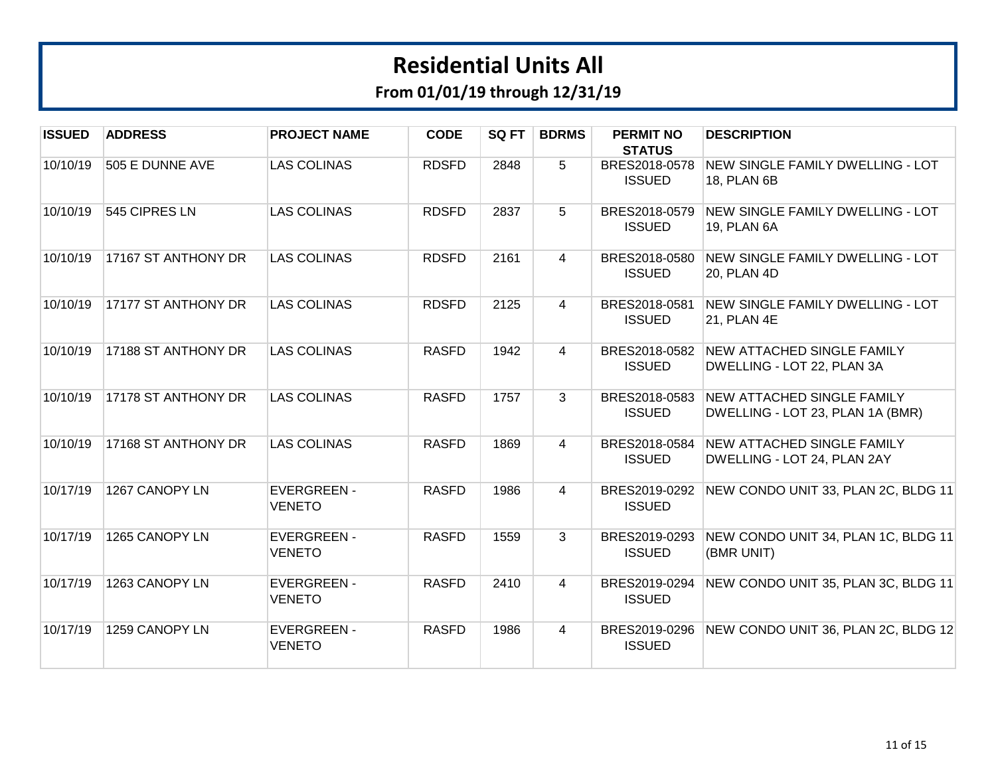| <b>ISSUED</b> | <b>ADDRESS</b>      | <b>PROJECT NAME</b>                 | <b>CODE</b>  | SQ FT | <b>BDRMS</b>   | <b>PERMIT NO</b><br><b>STATUS</b> | <b>DESCRIPTION</b>                                                      |
|---------------|---------------------|-------------------------------------|--------------|-------|----------------|-----------------------------------|-------------------------------------------------------------------------|
| 10/10/19      | 505 E DUNNE AVE     | <b>LAS COLINAS</b>                  | <b>RDSFD</b> | 2848  | 5              | BRES2018-0578<br><b>ISSUED</b>    | NEW SINGLE FAMILY DWELLING - LOT<br>18, PLAN 6B                         |
| 10/10/19      | 545 CIPRES LN       | <b>LAS COLINAS</b>                  | <b>RDSFD</b> | 2837  | 5              | BRES2018-0579<br><b>ISSUED</b>    | NEW SINGLE FAMILY DWELLING - LOT<br>19, PLAN 6A                         |
| 10/10/19      | 17167 ST ANTHONY DR | <b>LAS COLINAS</b>                  | <b>RDSFD</b> | 2161  | 4              | BRES2018-0580<br><b>ISSUED</b>    | NEW SINGLE FAMILY DWELLING - LOT<br>20, PLAN 4D                         |
| 10/10/19      | 17177 ST ANTHONY DR | <b>LAS COLINAS</b>                  | <b>RDSFD</b> | 2125  | $\overline{4}$ | BRES2018-0581<br><b>ISSUED</b>    | <b>NEW SINGLE FAMILY DWELLING - LOT</b><br>21, PLAN 4E                  |
| 10/10/19      | 17188 ST ANTHONY DR | <b>LAS COLINAS</b>                  | <b>RASFD</b> | 1942  | $\overline{4}$ | BRES2018-0582<br><b>ISSUED</b>    | <b>NEW ATTACHED SINGLE FAMILY</b><br>DWELLING - LOT 22, PLAN 3A         |
| 10/10/19      | 17178 ST ANTHONY DR | <b>LAS COLINAS</b>                  | <b>RASFD</b> | 1757  | 3              | BRES2018-0583<br><b>ISSUED</b>    | NEW ATTACHED SINGLE FAMILY<br>DWELLING - LOT 23, PLAN 1A (BMR)          |
| 10/10/19      | 17168 ST ANTHONY DR | <b>LAS COLINAS</b>                  | <b>RASFD</b> | 1869  | $\overline{4}$ | <b>ISSUED</b>                     | BRES2018-0584 NEW ATTACHED SINGLE FAMILY<br>DWELLING - LOT 24, PLAN 2AY |
| 10/17/19      | 1267 CANOPY LN      | <b>EVERGREEN -</b><br>VENETO        | <b>RASFD</b> | 1986  | $\overline{4}$ | BRES2019-0292<br><b>ISSUED</b>    | NEW CONDO UNIT 33, PLAN 2C, BLDG 11                                     |
| 10/17/19      | 1265 CANOPY LN      | <b>EVERGREEN -</b><br><b>VENETO</b> | <b>RASFD</b> | 1559  | 3              | BRES2019-0293<br><b>ISSUED</b>    | NEW CONDO UNIT 34, PLAN 1C, BLDG 11<br>(BMR UNIT)                       |
| 10/17/19      | 1263 CANOPY LN      | <b>EVERGREEN -</b><br><b>VENETO</b> | <b>RASFD</b> | 2410  | $\overline{4}$ | BRES2019-0294<br><b>ISSUED</b>    | NEW CONDO UNIT 35, PLAN 3C, BLDG 11                                     |
| 10/17/19      | 1259 CANOPY LN      | <b>EVERGREEN -</b><br><b>VENETO</b> | <b>RASFD</b> | 1986  | $\overline{4}$ | BRES2019-0296<br><b>ISSUED</b>    | NEW CONDO UNIT 36, PLAN 2C, BLDG 12                                     |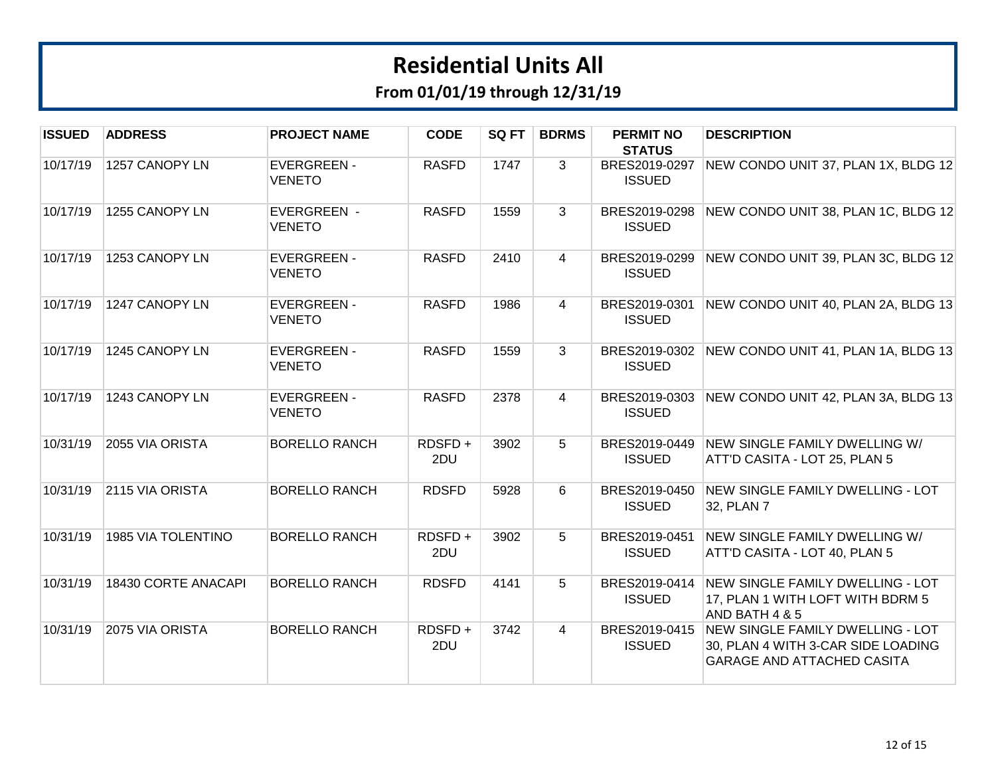| <b>ISSUED</b> | <b>ADDRESS</b>      | <b>PROJECT NAME</b>                 | <b>CODE</b>   | SQ FT | <b>BDRMS</b>   | <b>PERMIT NO</b><br><b>STATUS</b> | <b>DESCRIPTION</b>                                                                                          |
|---------------|---------------------|-------------------------------------|---------------|-------|----------------|-----------------------------------|-------------------------------------------------------------------------------------------------------------|
| 10/17/19      | 1257 CANOPY LN      | <b>EVERGREEN -</b><br><b>VENETO</b> | <b>RASFD</b>  | 1747  | 3              | BRES2019-0297<br><b>ISSUED</b>    | NEW CONDO UNIT 37, PLAN 1X, BLDG 12                                                                         |
| 10/17/19      | 1255 CANOPY LN      | <b>EVERGREEN -</b><br><b>VENETO</b> | <b>RASFD</b>  | 1559  | 3              | BRES2019-0298<br><b>ISSUED</b>    | NEW CONDO UNIT 38, PLAN 1C, BLDG 12                                                                         |
| 10/17/19      | 1253 CANOPY LN      | <b>EVERGREEN -</b><br><b>VENETO</b> | <b>RASFD</b>  | 2410  | $\overline{4}$ | BRES2019-0299<br><b>ISSUED</b>    | NEW CONDO UNIT 39, PLAN 3C, BLDG 12                                                                         |
| 10/17/19      | 1247 CANOPY LN      | <b>EVERGREEN -</b><br><b>VENETO</b> | <b>RASFD</b>  | 1986  | 4              | BRES2019-0301<br><b>ISSUED</b>    | NEW CONDO UNIT 40, PLAN 2A, BLDG 13                                                                         |
| 10/17/19      | 1245 CANOPY LN      | <b>EVERGREEN -</b><br><b>VENETO</b> | <b>RASFD</b>  | 1559  | 3              | BRES2019-0302<br><b>ISSUED</b>    | NEW CONDO UNIT 41, PLAN 1A, BLDG 13                                                                         |
| 10/17/19      | 1243 CANOPY LN      | <b>EVERGREEN -</b><br><b>VENETO</b> | <b>RASFD</b>  | 2378  | $\overline{4}$ | BRES2019-0303<br><b>ISSUED</b>    | NEW CONDO UNIT 42, PLAN 3A, BLDG 13                                                                         |
| 10/31/19      | 2055 VIA ORISTA     | <b>BORELLO RANCH</b>                | RDSFD+<br>2DU | 3902  | 5              | BRES2019-0449<br><b>ISSUED</b>    | NEW SINGLE FAMILY DWELLING W/<br>ATT'D CASITA - LOT 25, PLAN 5                                              |
| 10/31/19      | 2115 VIA ORISTA     | <b>BORELLO RANCH</b>                | <b>RDSFD</b>  | 5928  | 6              | BRES2019-0450<br><b>ISSUED</b>    | <b>NEW SINGLE FAMILY DWELLING - LOT</b><br>32, PLAN 7                                                       |
| 10/31/19      | 1985 VIA TOLENTINO  | <b>BORELLO RANCH</b>                | RDSFD+<br>2DU | 3902  | 5              | BRES2019-0451<br><b>ISSUED</b>    | <b>NEW SINGLE FAMILY DWELLING W/</b><br>ATT'D CASITA - LOT 40, PLAN 5                                       |
| 10/31/19      | 18430 CORTE ANACAPI | <b>BORELLO RANCH</b>                | <b>RDSFD</b>  | 4141  | 5              | BRES2019-0414<br><b>ISSUED</b>    | <b>NEW SINGLE FAMILY DWELLING - LOT</b><br>17, PLAN 1 WITH LOFT WITH BDRM 5<br>AND BATH 4 & 5               |
| 10/31/19      | 2075 VIA ORISTA     | <b>BORELLO RANCH</b>                | RDSFD+<br>2DU | 3742  | $\overline{4}$ | BRES2019-0415<br><b>ISSUED</b>    | NEW SINGLE FAMILY DWELLING - LOT<br>30, PLAN 4 WITH 3-CAR SIDE LOADING<br><b>GARAGE AND ATTACHED CASITA</b> |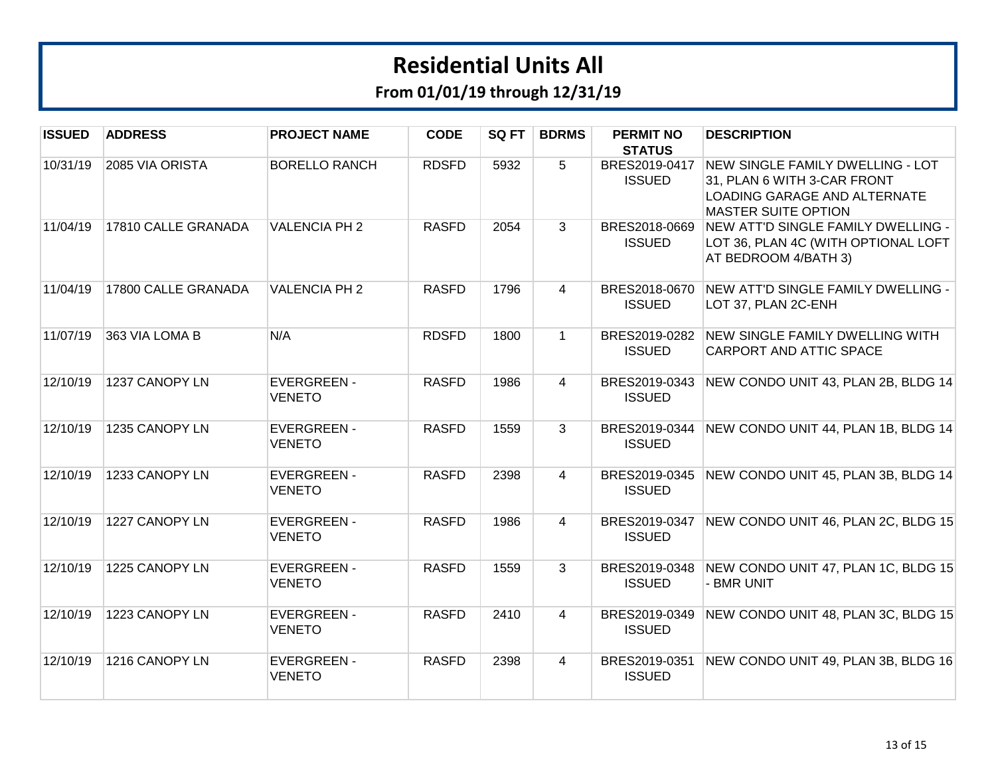| <b>ISSUED</b> | <b>ADDRESS</b>      | <b>PROJECT NAME</b>                 | <b>CODE</b>  | SQ FT | <b>BDRMS</b>   | <b>PERMIT NO</b><br><b>STATUS</b> | <b>DESCRIPTION</b>                                                                                                            |
|---------------|---------------------|-------------------------------------|--------------|-------|----------------|-----------------------------------|-------------------------------------------------------------------------------------------------------------------------------|
| 10/31/19      | 2085 VIA ORISTA     | <b>BORELLO RANCH</b>                | <b>RDSFD</b> | 5932  | 5              | BRES2019-0417<br><b>ISSUED</b>    | NEW SINGLE FAMILY DWELLING - LOT<br>31, PLAN 6 WITH 3-CAR FRONT<br>LOADING GARAGE AND ALTERNATE<br><b>MASTER SUITE OPTION</b> |
| 11/04/19      | 17810 CALLE GRANADA | <b>VALENCIA PH 2</b>                | <b>RASFD</b> | 2054  | $\mathbf{3}$   | BRES2018-0669<br><b>ISSUED</b>    | NEW ATT'D SINGLE FAMILY DWELLING -<br>LOT 36, PLAN 4C (WITH OPTIONAL LOFT<br>AT BEDROOM 4/BATH 3)                             |
| 11/04/19      | 17800 CALLE GRANADA | <b>VALENCIA PH 2</b>                | <b>RASFD</b> | 1796  | 4              | BRES2018-0670<br><b>ISSUED</b>    | NEW ATT'D SINGLE FAMILY DWELLING -<br>LOT 37, PLAN 2C-ENH                                                                     |
| 11/07/19      | 363 VIA LOMA B      | N/A                                 | <b>RDSFD</b> | 1800  | $\mathbf{1}$   | BRES2019-0282<br><b>ISSUED</b>    | NEW SINGLE FAMILY DWELLING WITH<br>CARPORT AND ATTIC SPACE                                                                    |
| 12/10/19      | 1237 CANOPY LN      | <b>EVERGREEN -</b><br><b>VENETO</b> | <b>RASFD</b> | 1986  | $\overline{4}$ | BRES2019-0343<br><b>ISSUED</b>    | NEW CONDO UNIT 43, PLAN 2B, BLDG 14                                                                                           |
| 12/10/19      | 1235 CANOPY LN      | <b>EVERGREEN -</b><br><b>VENETO</b> | <b>RASFD</b> | 1559  | 3              | <b>ISSUED</b>                     | BRES2019-0344 NEW CONDO UNIT 44, PLAN 1B, BLDG 14                                                                             |
| 12/10/19      | 1233 CANOPY LN      | <b>EVERGREEN -</b><br><b>VENETO</b> | <b>RASFD</b> | 2398  | 4              | BRES2019-0345<br><b>ISSUED</b>    | NEW CONDO UNIT 45, PLAN 3B, BLDG 14                                                                                           |
| 12/10/19      | 1227 CANOPY LN      | <b>EVERGREEN-</b><br><b>VENETO</b>  | <b>RASFD</b> | 1986  | $\overline{4}$ | BRES2019-0347<br><b>ISSUED</b>    | NEW CONDO UNIT 46, PLAN 2C, BLDG 15                                                                                           |
| 12/10/19      | 1225 CANOPY LN      | <b>EVERGREEN -</b><br><b>VENETO</b> | <b>RASFD</b> | 1559  | 3              | BRES2019-0348<br><b>ISSUED</b>    | NEW CONDO UNIT 47, PLAN 1C, BLDG 15<br>- BMR UNIT                                                                             |
| 12/10/19      | 1223 CANOPY LN      | <b>EVERGREEN -</b><br><b>VENETO</b> | <b>RASFD</b> | 2410  | 4              | BRES2019-0349<br><b>ISSUED</b>    | NEW CONDO UNIT 48, PLAN 3C, BLDG 15                                                                                           |
| 12/10/19      | 1216 CANOPY LN      | <b>EVERGREEN -</b><br><b>VENETO</b> | <b>RASFD</b> | 2398  | $\overline{4}$ | BRES2019-0351<br><b>ISSUED</b>    | NEW CONDO UNIT 49, PLAN 3B, BLDG 16                                                                                           |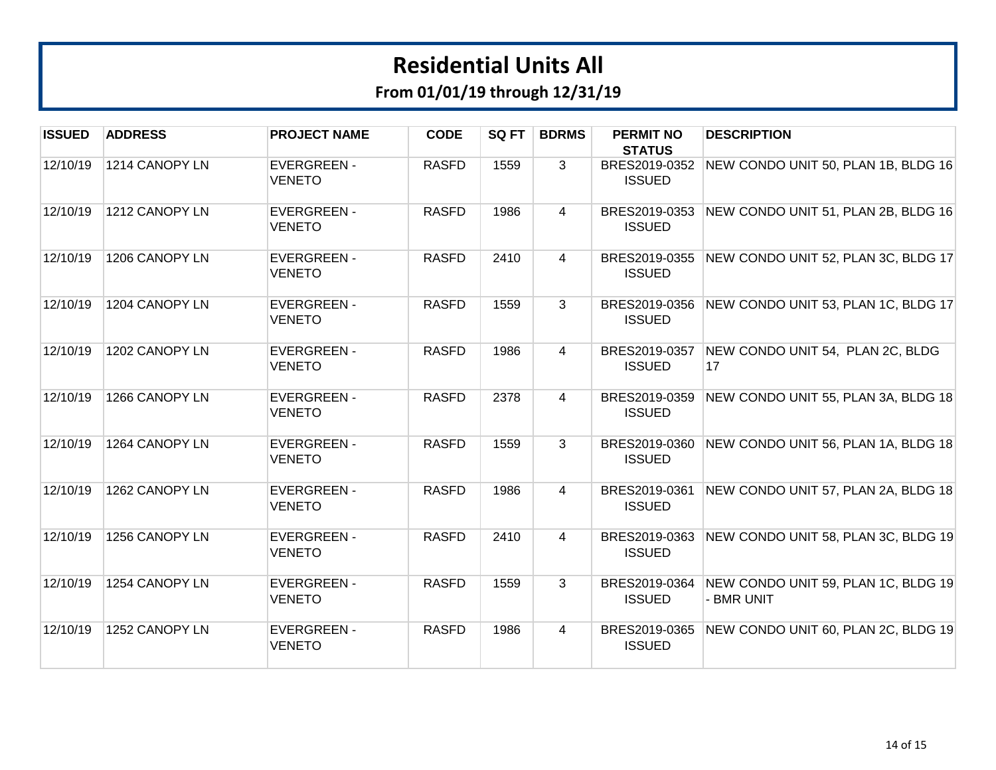| <b>ISSUED</b> | <b>ADDRESS</b> | <b>PROJECT NAME</b>                 | <b>CODE</b>  | SQ FT | <b>BDRMS</b>   | <b>PERMIT NO</b><br><b>STATUS</b> | <b>DESCRIPTION</b>                                |
|---------------|----------------|-------------------------------------|--------------|-------|----------------|-----------------------------------|---------------------------------------------------|
| 12/10/19      | 1214 CANOPY LN | <b>EVERGREEN -</b><br>VENETO        | <b>RASFD</b> | 1559  | 3              | BRES2019-0352<br><b>ISSUED</b>    | NEW CONDO UNIT 50, PLAN 1B, BLDG 16               |
| 12/10/19      | 1212 CANOPY LN | <b>EVERGREEN -</b><br><b>VENETO</b> | <b>RASFD</b> | 1986  | $\overline{4}$ | BRES2019-0353<br><b>ISSUED</b>    | NEW CONDO UNIT 51, PLAN 2B, BLDG 16               |
| 12/10/19      | 1206 CANOPY LN | <b>EVERGREEN -</b><br><b>VENETO</b> | <b>RASFD</b> | 2410  | $\overline{4}$ | BRES2019-0355<br><b>ISSUED</b>    | NEW CONDO UNIT 52, PLAN 3C, BLDG 17               |
| 12/10/19      | 1204 CANOPY LN | <b>EVERGREEN -</b><br><b>VENETO</b> | <b>RASFD</b> | 1559  | 3              | BRES2019-0356<br><b>ISSUED</b>    | NEW CONDO UNIT 53, PLAN 1C, BLDG 17               |
| 12/10/19      | 1202 CANOPY LN | <b>EVERGREEN -</b><br><b>VENETO</b> | <b>RASFD</b> | 1986  | $\overline{4}$ | BRES2019-0357<br><b>ISSUED</b>    | NEW CONDO UNIT 54, PLAN 2C, BLDG<br>17            |
| 12/10/19      | 1266 CANOPY LN | <b>EVERGREEN -</b><br><b>VENETO</b> | <b>RASFD</b> | 2378  | $\overline{4}$ | BRES2019-0359<br><b>ISSUED</b>    | NEW CONDO UNIT 55, PLAN 3A, BLDG 18               |
| 12/10/19      | 1264 CANOPY LN | <b>EVERGREEN -</b><br><b>VENETO</b> | <b>RASFD</b> | 1559  | 3              | BRES2019-0360<br><b>ISSUED</b>    | NEW CONDO UNIT 56, PLAN 1A, BLDG 18               |
| 12/10/19      | 1262 CANOPY LN | <b>EVERGREEN -</b><br><b>VENETO</b> | <b>RASFD</b> | 1986  | $\overline{4}$ | BRES2019-0361<br><b>ISSUED</b>    | NEW CONDO UNIT 57, PLAN 2A, BLDG 18               |
| 12/10/19      | 1256 CANOPY LN | <b>EVERGREEN -</b><br>VENETO        | <b>RASFD</b> | 2410  | $\overline{4}$ | BRES2019-0363<br><b>ISSUED</b>    | NEW CONDO UNIT 58, PLAN 3C, BLDG 19               |
| 12/10/19      | 1254 CANOPY LN | <b>EVERGREEN -</b><br>VENETO        | <b>RASFD</b> | 1559  | 3              | BRES2019-0364<br><b>ISSUED</b>    | NEW CONDO UNIT 59, PLAN 1C, BLDG 19<br>- BMR UNIT |
| 12/10/19      | 1252 CANOPY LN | <b>EVERGREEN -</b><br><b>VENETO</b> | <b>RASFD</b> | 1986  | $\overline{4}$ | BRES2019-0365<br><b>ISSUED</b>    | NEW CONDO UNIT 60, PLAN 2C, BLDG 19               |